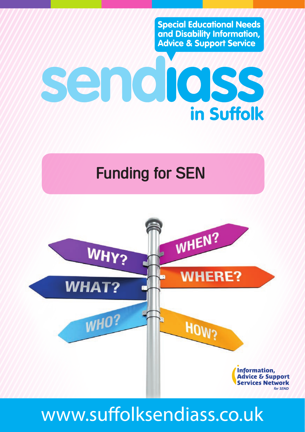**Special Educational Needs** and Disability Information, **Advice & Support Service** 

# sendidss **in Suffolk**

# Funding for SEN



# www.suffolksendiass.co.uk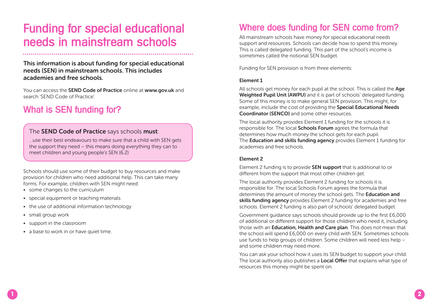# Funding for special educational needs in mainstream schools

#### **This information is about funding for special educational needs (SEN) in mainstream schools. This includes academies and free schools.**

You can access the **SEND Code of Practice** online at **www.gov.uk** and search 'SEND Code of Practice'.

# What is SEN funding for?

#### The **SEND Code of Practice** says schools **must**:

…use their best endeavours to make sure that a child with SEN gets the support they need – this means doing everything they can to meet children and young people's SEN (6.2)

Schools should use some of their budget to buy resources and make provision for children who need additional help. This can take many forms. For example, children with SEN might need:

- some changes to the curriculum
- special equipment or teaching materials
- the use of additional information technology
- small group work
- support in the classroom
- a base to work in or have quiet time.

# Where does funding for SEN come from?

All mainstream schools have money for special educational needs support and resources. Schools can decide how to spend this money. This is called delegated funding. This part of the school's income is sometimes called the notional SEN budget.

Funding for SEN provision is from three elements:

#### **Element 1**

All schools get money for each pupil at the school. This is called the **Age Weighted Pupil Unit (AWPU)** and it is part of schools' delegated funding. Some of this money is to make general SEN provision. This might, for example, include the cost of providing the **Special Educational Needs Coordinator (SENCO)** and some other resources.

The local authority provides Element 1 funding for the schools it is responsible for. The local **Schools Forum** agrees the formula that determines how much money the school gets for each pupil. The **Education and skills funding agency** provides Element 1 funding for academies and free schools.

#### **Element 2**

Element 2 funding is to provide **SEN support** that is additional to or different from the support that most other children get.

The local authority provides Element 2 funding for schools it is responsible for. The local Schools Forum agrees the formula that determines the amount of money the school gets. The **Education and skills funding agency** provides Element 2 funding for academies and free schools. Element 2 funding is also part of schools' delegated budget.

Government guidance says schools should provide up to the first £6,000 of additional or different support for those children who need it, including those with an **Education, Health and Care plan**. This does not mean that the school will spend £6,000 on every child with SEN. Sometimes schools use funds to help groups of children. Some children will need less help – and some children may need more.

You can ask your school how it uses its SEN budget to support your child. The local authority also publishes a **Local Offer** that explains what type of resources this money might be spent on.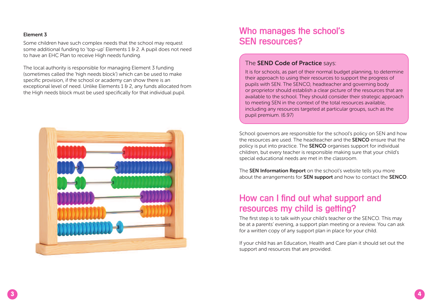#### **Element 3**

Some children have such complex needs that the school may request some additional funding to 'top-up' Elements 1 & 2. A pupil does not need to have an EHC Plan to receive High needs funding.

The local authority is responsible for managing Element 3 funding (sometimes called the 'high needs block') which can be used to make specific provision, if the school or academy can show there is an exceptional level of need. Unlike Elements 1 & 2, any funds allocated from the High needs block must be used specifically for that individual pupil.



### Who manages the school's SEN resources?

#### The **SEND Code of Practice** says:

It is for schools, as part of their normal budget planning, to determine their approach to using their resources to support the progress of pupils with SEN. The SENCO, headteacher and governing body or proprietor should establish a clear picture of the resources that are available to the school. They should consider their strategic approach to meeting SEN in the context of the total resources available, including any resources targeted at particular groups, such as the pupil premium. (6.97)

School governors are responsible for the school's policy on SEN and how the resources are used. The headteacher and the **SENCO** ensure that the policy is put into practice. The **SENCO** organises support for individual children, but every teacher is responsible making sure that your child's special educational needs are met in the classroom.

The **SEN Information Report** on the school's website tells you more about the arrangements for **SEN support** and how to contact the **SENCO**.

### How can I find out what support and resources my child is getting?

The first step is to talk with your child's teacher or the SENCO. This may be at a parents' evening, a support plan meeting or a review. You can ask for a written copy of any support plan in place for your child.

If your child has an Education, Health and Care plan it should set out the support and resources that are provided.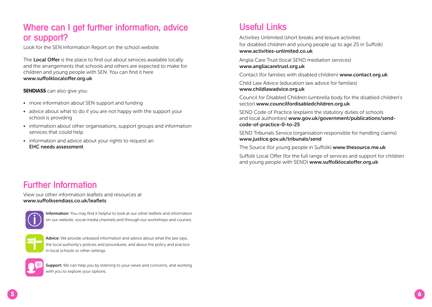# Where can I get further information, advice or support?

Look for the SEN Information Report on the school website.

The **Local Offer** is the place to find out about services available locally and the arrangements that schools and others are expected to make for children and young people with SEN. You can find it here **www.suffolklocaloffer.org.uk**

**SENDIASS** can also give you:

- more information about SEN support and funding
- advice about what to do if you are not happy with the support your school is providing
- information about other organisations, support groups and information services that could help
- information and advice about your rights to request an **EHC needs assessment**.

# Useful Links

Activities Unlimited (short breaks and leisure activities for disabled children and young people up to age 25 in Suffolk) **[www.activities-unlimited.co.uk](https://www.access-unlimited.co.uk/activitiesunlimited/)**

Anglia Care Trust (local SEND mediation services) **<www.angliacaretrust.org.uk>**

Contact (for families with disabled children) **<www.contact.org.uk>**

Child Law Advice (education law advice for families) **<www.childlawadvice.org.uk>**

Council for Disabled Children (umbrella body for the disabled children's sector) **<www.councilfordisabledchildren.org.uk>**

SEND Code of Practice (explains the statutory duties of schools and local authorities) **[www.gov.uk/government/publications/send](www.gov.uk/government/publications/send-code-of-practice-0-to-25)[code-of-practice-0-to-25](www.gov.uk/government/publications/send-code-of-practice-0-to-25)**

SEND Tribunals Service (organisation responsible for handling claims) **<www.justice.gov.uk/tribunals/send>**

The Source (for young people in Suffolk) **<www.thesource.me.uk>**

Suffolk Local Offer (for the full range of services and support for children and young people with SEND) **[www.suffolklocaloffer.org.uk](infolink.suffolk.gov.uk)**

### Further Information

View our other information leaflets and resources at **www.suffolksendiass.co.uk/leaflets**



**Information:** You may find it helpful to look at our other leaflets and information on our website, social media channels and through our workshops and courses.



**Advice:** We provide unbiased information and advice about what the law says, the local authority's policies and procedures, and about the policy and practice in local schools or other settings.



**Support:** We can help you by listening to your views and concerns, and working with you to explore your options.